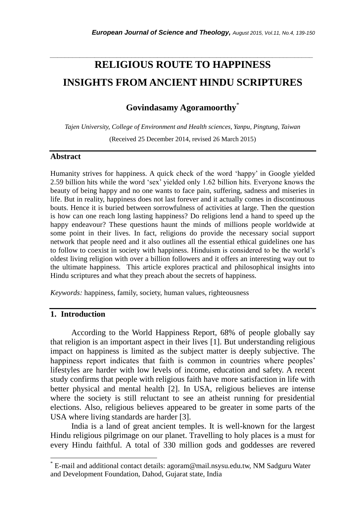# **RELIGIOUS ROUTE TO HAPPINESS INSIGHTS FROM ANCIENT HINDU SCRIPTURES**

*\_\_\_\_\_\_\_\_\_\_\_\_\_\_\_\_\_\_\_\_\_\_\_\_\_\_\_\_\_\_\_\_\_\_\_\_\_\_\_\_\_\_\_\_\_\_\_\_\_\_\_\_\_\_\_\_\_\_\_\_\_\_\_\_\_\_\_\_\_\_\_*

## **Govindasamy Agoramoorthy**\*

*Tajen University, College of Environment and Health sciences, Yanpu, Pingtung, Taiwan* (Received 25 December 2014, revised 26 March 2015)

#### **Abstract**

Humanity strives for happiness. A quick check of the word ‗happy' in Google yielded 2.59 billion hits while the word 'sex' yielded only 1.62 billion hits. Everyone knows the beauty of being happy and no one wants to face pain, suffering, sadness and miseries in life. But in reality, happiness does not last forever and it actually comes in discontinuous bouts. Hence it is buried between sorrowfulness of activities at large. Then the question is how can one reach long lasting happiness? Do religions lend a hand to speed up the happy endeavour? These questions haunt the minds of millions people worldwide at some point in their lives. In fact, religions do provide the necessary social support network that people need and it also outlines all the essential ethical guidelines one has to follow to coexist in society with happiness. Hinduism is considered to be the world's oldest living religion with over a billion followers and it offers an interesting way out to the ultimate happiness. This article explores practical and philosophical insights into Hindu scriptures and what they preach about the secrets of happiness.

*Keywords:* happiness, family, society, human values, righteousness

#### **1. Introduction**

l

 According to the World Happiness Report, 68% of people globally say that religion is an important aspect in their lives [1]. But understanding religious impact on happiness is limited as the subject matter is deeply subjective. The happiness report indicates that faith is common in countries where peoples' lifestyles are harder with low levels of income, education and safety. A recent study confirms that people with religious faith have more satisfaction in life with better physical and mental health [2]. In USA, religious believes are intense where the society is still reluctant to see an atheist running for presidential elections. Also, religious believes appeared to be greater in some parts of the USA where living standards are harder [3].

India is a land of great ancient temples. It is well-known for the largest Hindu religious pilgrimage on our planet. Travelling to holy places is a must for every Hindu faithful. A total of 330 million gods and goddesses are revered

<sup>\*</sup> E-mail and additional contact details: agoram@mail.nsysu.edu.tw, NM Sadguru Water and Development Foundation, Dahod, Gujarat state, India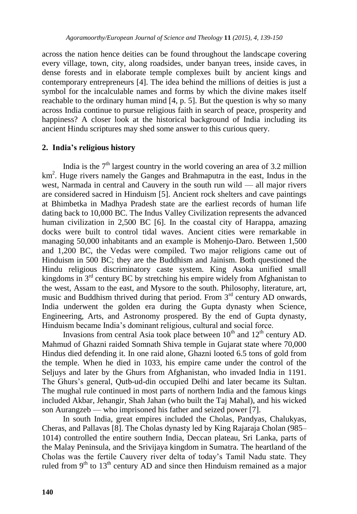across the nation hence deities can be found throughout the landscape covering every village, town, city, along roadsides, under banyan trees, inside caves, in dense forests and in elaborate temple complexes built by ancient kings and contemporary entrepreneurs [4]. The idea behind the millions of deities is just a symbol for the incalculable names and forms by which the divine makes itself reachable to the ordinary human mind [4, p. 5]. But the question is why so many across India continue to pursue religious faith in search of peace, prosperity and happiness? A closer look at the historical background of India including its ancient Hindu scriptures may shed some answer to this curious query.

## **2. India's religious history**

India is the  $7<sup>th</sup>$  largest country in the world covering an area of 3.2 million km<sup>2</sup>. Huge rivers namely the Ganges and Brahmaputra in the east, Indus in the west, Narmada in central and Cauvery in the south run wild — all major rivers are considered sacred in Hinduism [5]. Ancient rock shelters and cave paintings at Bhimbetka in Madhya Pradesh state are the earliest records of human life dating back to 10,000 BC. The Indus Valley Civilization represents the advanced human civilization in 2,500 BC [6]. In the coastal city of Harappa, amazing docks were built to control tidal waves. Ancient cities were remarkable in managing 50,000 inhabitants and an example is Mohenjo-Daro. Between 1,500 and 1,200 BC, the Vedas were compiled. Two major religions came out of Hinduism in 500 BC; they are the Buddhism and Jainism. Both questioned the Hindu religious discriminatory caste system. King Asoka unified small kingdoms in 3<sup>rd</sup> century BC by stretching his empire widely from Afghanistan to the west, Assam to the east, and Mysore to the south. Philosophy, literature, art, music and Buddhism thrived during that period. From  $3<sup>rd</sup>$  century AD onwards, India underwent the golden era during the Gupta dynasty when Science, Engineering, Arts, and Astronomy prospered. By the end of Gupta dynasty, Hinduism became India's dominant religious, cultural and social force.

Invasions from central Asia took place between  $10<sup>th</sup>$  and  $12<sup>th</sup>$  century AD. Mahmud of Ghazni raided Somnath Shiva temple in Gujarat state where 70,000 Hindus died defending it. In one raid alone, Ghazni looted 6.5 tons of gold from the temple. When he died in 1033, his empire came under the control of the Seljuys and later by the Ghurs from Afghanistan, who invaded India in 1191. The Ghurs's general, Qutb-ud-din occupied Delhi and later became its Sultan. The mughal rule continued in most parts of northern India and the famous kings included Akbar, Jehangir, Shah Jahan (who built the Taj Mahal), and his wicked son Aurangzeb — who imprisoned his father and seized power [7].

In south India, great empires included the Cholas, Pandyas, Chalukyas, Cheras, and Pallavas [8]. The Cholas dynasty led by King Rajaraja Cholan (985– 1014) controlled the entire southern India, Deccan plateau, Sri Lanka, parts of the Malay Peninsula, and the Srivijaya kingdom in Sumatra. The heartland of the Cholas was the fertile Cauvery river delta of today's Tamil Nadu state. They ruled from  $9<sup>th</sup>$  to  $13<sup>th</sup>$  century AD and since then Hinduism remained as a major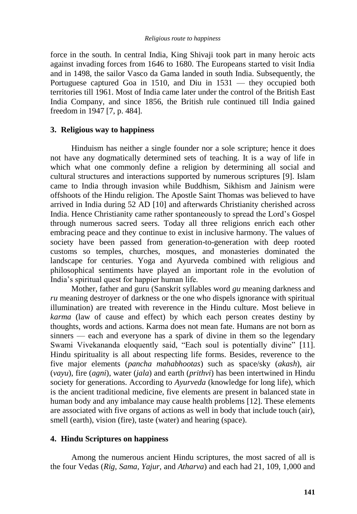force in the south. In central India, King Shivaji took part in many heroic acts against invading forces from 1646 to 1680. The Europeans started to visit India and in 1498, the sailor Vasco da Gama landed in south India. Subsequently, the Portuguese captured Goa in 1510, and Diu in 1531 — they occupied both territories till 1961. Most of India came later under the control of the British East India Company, and since 1856, the British rule continued till India gained freedom in 1947 [7, p. 484].

## **3. Religious way to happiness**

Hinduism has neither a single founder nor a sole scripture; hence it does not have any dogmatically determined sets of teaching. It is a way of life in which what one commonly define a religion by determining all social and cultural structures and interactions supported by numerous scriptures [9]. Islam came to India through invasion while Buddhism, Sikhism and Jainism were offshoots of the Hindu religion. The Apostle Saint Thomas was believed to have arrived in India during 52 AD [10] and afterwards Christianity cherished across India. Hence Christianity came rather spontaneously to spread the Lord's Gospel through numerous sacred seers. Today all three religions enrich each other embracing peace and they continue to exist in inclusive harmony. The values of society have been passed from generation-to-generation with deep rooted customs so temples, churches, mosques, and monasteries dominated the landscape for centuries. Yoga and Ayurveda combined with religious and philosophical sentiments have played an important role in the evolution of India's spiritual quest for happier human life.

Mother, father and guru (Sanskrit syllables word *gu* meaning darkness and *ru* meaning destroyer of darkness or the one who dispels ignorance with spiritual illumination) are treated with reverence in the Hindu culture. Most believe in *karma* (law of cause and effect) by which each person creates destiny by thoughts, words and actions. Karma does not mean fate. Humans are not born as sinners — each and everyone has a spark of divine in them so the legendary Swami Vivekananda eloquently said, "Each soul is potentially divine" [11]. Hindu spirituality is all about respecting life forms. Besides, reverence to the five major elements (*pancha mahabhootas*) such as space/sky (*akash*), air (*vayu*), fire (*agni*), water (*jala*) and earth (*prithvi*) has been intertwined in Hindu society for generations. According to *Ayurveda* (knowledge for long life), which is the ancient traditional medicine, five elements are present in balanced state in human body and any imbalance may cause health problems [12]. These elements are associated with five organs of actions as well in body that include touch (air), smell (earth), vision (fire), taste (water) and hearing (space).

## **4. Hindu Scriptures on happiness**

Among the numerous ancient Hindu scriptures, the most sacred of all is the four Vedas (*Rig, Sama, Yajur,* and *Atharva*) and each had 21, 109, 1,000 and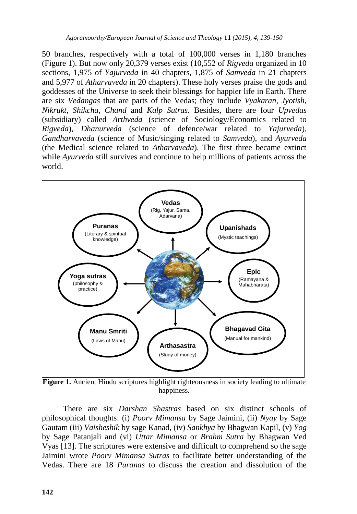50 branches, respectively with a total of 100,000 verses in 1,180 branches (Figure 1). But now only 20,379 verses exist (10,552 of *Rigveda* organized in 10 sections, 1,975 of *Yajurveda* in 40 chapters, 1,875 of *Samveda* in 21 chapters and 5,977 of *Atharvaveda* in 20 chapters). These holy verses praise the gods and goddesses of the Universe to seek their blessings for happier life in Earth. There are six *Vedangas* that are parts of the Vedas; they include *Vyakaran, Jyotish, Nikrukt, Shikcha, Chand* and *Kalp Sutras*. Besides, there are four *Upvedas* (subsidiary) called *Arthveda* (science of Sociology/Economics related to *Rigveda*), *Dhanurveda* (science of defence/war related to *Yajurveda*), *Gandharvaveda* (science of Music/singing related to *Samveda*), and *Ayurveda* (the Medical science related to *Atharvaveda*). The first three became extinct while *Ayurveda* still survives and continue to help millions of patients across the world.



**Figure 1.** Ancient Hindu scriptures highlight righteousness in society leading to ultimate happiness.

There are six *Darshan Shastras* based on six distinct schools of philosophical thoughts: (i) *Poorv Mimansa* by Sage Jaimini, (ii) *Nyay* by Sage Gautam (iii) *Vaisheshik* by sage Kanad, (iv) *Sankhya* by Bhagwan Kapil, (v) *Yog* by Sage Patanjali and (vi) *Uttar Mimansa* or *Brahm Sutra* by Bhagwan Ved Vyas [13]. The scriptures were extensive and difficult to comprehend so the sage Jaimini wrote *Poorv Mimansa Sutras* to facilitate better understanding of the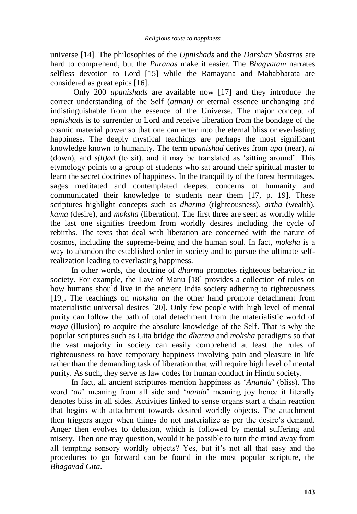universe [14]. The philosophies of the *Upnishads* and the *Darshan Shastras* are hard to comprehend, but the *Puranas* make it easier. The *Bhagvatam* narrates selfless devotion to Lord [15] while the Ramayana and Mahabharata are considered as great epics [16].

Only 200 *upanishads* are available now [17] and they introduce the correct understanding of the Self (*atman)* or eternal essence unchanging and indistinguishable from the essence of the Universe. The major concept of *upnishads* is to surrender to Lord and receive liberation from the bondage of the cosmic material power so that one can enter into the eternal bliss or everlasting happiness. The deeply mystical teachings are perhaps the most significant knowledge known to humanity. The term *upanishad* derives from *upa* (near), *ni*  (down), and  $s(h)$ *ad* (to sit), and it may be translated as 'sitting around'. This etymology points to a group of students who sat around their spiritual master to learn the secret doctrines of happiness. In the tranquility of the forest hermitages, sages meditated and contemplated deepest concerns of humanity and communicated their knowledge to students near them [17, p. 19]. These scriptures highlight concepts such as *dharma* (righteousness), *artha* (wealth), *kama* (desire), and *moksha* (liberation). The first three are seen as worldly while the last one signifies freedom from worldly desires including the cycle of rebirths. The texts that deal with liberation are concerned with the nature of cosmos, including the supreme-being and the human soul. In fact, *moksha* is a way to abandon the established order in society and to pursue the ultimate selfrealization leading to everlasting happiness.

In other words, the doctrine of *dharma* promotes righteous behaviour in society. For example, the Law of Manu [18] provides a collection of rules on how humans should live in the ancient India society adhering to righteousness [19]. The teachings on *moksha* on the other hand promote detachment from materialistic universal desires [20]. Only few people with high level of mental purity can follow the path of total detachment from the materialistic world of *maya* (illusion) to acquire the absolute knowledge of the Self. That is why the popular scriptures such as Gita bridge the *dharma* and *moksha* paradigms so that the vast majority in society can easily comprehend at least the rules of righteousness to have temporary happiness involving pain and pleasure in life rather than the demanding task of liberation that will require high level of mental purity. As such, they serve as law codes for human conduct in Hindu society.

In fact, all ancient scriptures mention happiness as '*Ananda*' (bliss). The word ‗*aa*' meaning from all side and ‗*nanda*' meaning joy hence it literally denotes bliss in all sides. Activities linked to sense organs start a chain reaction that begins with attachment towards desired worldly objects. The attachment then triggers anger when things do not materialize as per the desire's demand. Anger then evolves to delusion, which is followed by mental suffering and misery. Then one may question, would it be possible to turn the mind away from all tempting sensory worldly objects? Yes, but it's not all that easy and the procedures to go forward can be found in the most popular scripture, the *Bhagavad Gita*.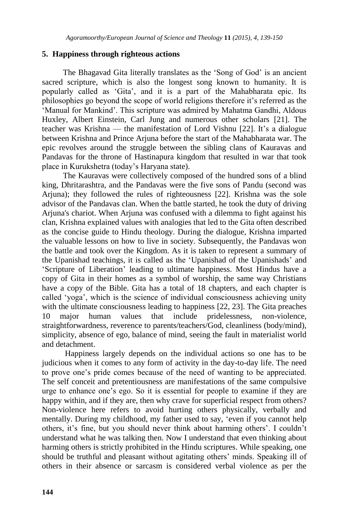## **5. Happiness through righteous actions**

The Bhagavad Gita literally translates as the 'Song of God' is an ancient sacred scripture, which is also the longest song known to humanity. It is popularly called as ‗Gita', and it is a part of the Mahabharata epic. Its philosophies go beyond the scope of world religions therefore it's referred as the ‗Manual for Mankind'. This scripture was admired by Mahatma Gandhi, Aldous Huxley, Albert Einstein, Carl Jung and numerous other scholars [21]. The teacher was Krishna — the manifestation of Lord Vishnu [22]. It's a dialogue between Krishna and Prince Arjuna before the start of the Mahabharata war. The epic revolves around the struggle between the sibling clans of Kauravas and Pandavas for the throne of Hastinapura kingdom that resulted in war that took place in Kurukshetra (today's Haryana state).

The Kauravas were collectively composed of the hundred sons of a blind king, Dhritarashtra, and the Pandavas were the five sons of Pandu (second was Arjuna); they followed the rules of righteousness [22]. Krishna was the sole advisor of the Pandavas clan. When the battle started, he took the duty of driving Arjuna's chariot. When Arjuna was confused with a dilemma to fight against his clan, Krishna explained values with analogies that led to the Gita often described as the concise guide to Hindu theology. During the dialogue, Krishna imparted the valuable lessons on how to live in society. Subsequently, the Pandavas won the battle and took over the Kingdom. As it is taken to represent a summary of the Upanishad teachings, it is called as the ‗Upanishad of the Upanishads' and ‗Scripture of Liberation' leading to ultimate happiness. Most Hindus have a copy of Gita in their homes as a symbol of worship, the same way Christians have a copy of the Bible. Gita has a total of 18 chapters, and each chapter is called ‗yoga', which is the science of individual consciousness achieving unity with the ultimate consciousness leading to happiness [22, 23]. The Gita preaches 10 major human values that include pridelessness, non-violence, straightforwardness, reverence to parents/teachers/God, cleanliness (body/mind), simplicity, absence of ego, balance of mind, seeing the fault in materialist world and detachment.

Happiness largely depends on the individual actions so one has to be judicious when it comes to any form of activity in the day-to-day life. The need to prove one's pride comes because of the need of wanting to be appreciated. The self conceit and pretentiousness are manifestations of the same compulsive urge to enhance one's ego. So it is essential for people to examine if they are happy within, and if they are, then why crave for superficial respect from others? Non-violence here refers to avoid hurting others physically, verbally and mentally. During my childhood, my father used to say, 'even if you cannot help others, it's fine, but you should never think about harming others'. I couldn't understand what he was talking then. Now I understand that even thinking about harming others is strictly prohibited in the Hindu scriptures. While speaking, one should be truthful and pleasant without agitating others' minds. Speaking ill of others in their absence or sarcasm is considered verbal violence as per the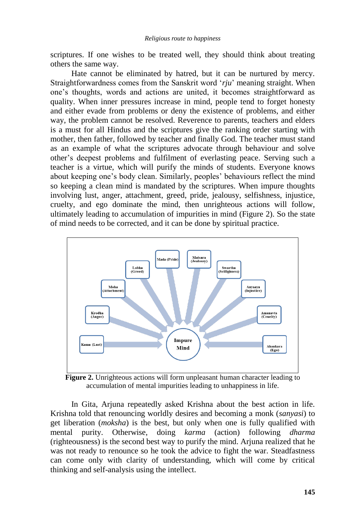scriptures. If one wishes to be treated well, they should think about treating others the same way.

Hate cannot be eliminated by hatred, but it can be nurtured by mercy. Straightforwardness comes from the Sanskrit word 'rju' meaning straight. When one's thoughts, words and actions are united, it becomes straightforward as quality. When inner pressures increase in mind, people tend to forget honesty and either evade from problems or deny the existence of problems, and either way, the problem cannot be resolved. Reverence to parents, teachers and elders is a must for all Hindus and the scriptures give the ranking order starting with mother, then father, followed by teacher and finally God. The teacher must stand as an example of what the scriptures advocate through behaviour and solve other's deepest problems and fulfilment of everlasting peace. Serving such a teacher is a virtue, which will purify the minds of students. Everyone knows about keeping one's body clean. Similarly, peoples' behaviours reflect the mind so keeping a clean mind is mandated by the scriptures. When impure thoughts involving lust, anger, attachment, greed, pride, jealousy, selfishness, injustice, cruelty, and ego dominate the mind, then unrighteous actions will follow, ultimately leading to accumulation of impurities in mind (Figure 2). So the state of mind needs to be corrected, and it can be done by spiritual practice.



**Figure 2.** Unrighteous actions will form unpleasant human character leading to accumulation of mental impurities leading to unhappiness in life.

In Gita, Arjuna repeatedly asked Krishna about the best action in life. Krishna told that renouncing worldly desires and becoming a monk (*sanyasi*) to get liberation (*moksha*) is the best, but only when one is fully qualified with mental purity. Otherwise, doing *karma* (action) following *dharma* (righteousness) is the second best way to purify the mind. Arjuna realized that he was not ready to renounce so he took the advice to fight the war. Steadfastness can come only with clarity of understanding, which will come by critical thinking and self-analysis using the intellect.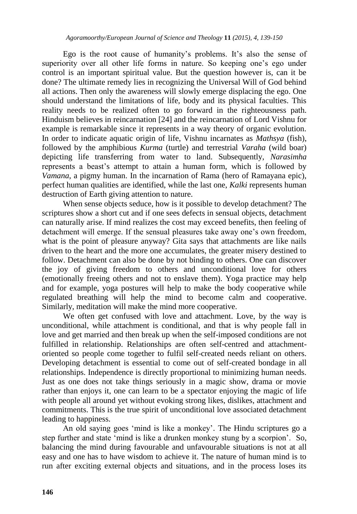Ego is the root cause of humanity's problems. It's also the sense of superiority over all other life forms in nature. So keeping one's ego under control is an important spiritual value. But the question however is, can it be done? The ultimate remedy lies in recognizing the Universal Will of God behind all actions. Then only the awareness will slowly emerge displacing the ego. One should understand the limitations of life, body and its physical faculties. This reality needs to be realized often to go forward in the righteousness path. Hinduism believes in reincarnation [24] and the reincarnation of Lord Vishnu for example is remarkable since it represents in a way theory of organic evolution. In order to indicate aquatic origin of life, Vishnu incarnates as *Mathsya* (fish), followed by the amphibious *Kurma* (turtle) and terrestrial *Varaha* (wild boar) depicting life transferring from water to land. Subsequently, *Narasimha* represents a beast's attempt to attain a human form, which is followed by *Vamana*, a pigmy human. In the incarnation of Rama (hero of Ramayana epic), perfect human qualities are identified, while the last one, *Kalki* represents human destruction of Earth giving attention to nature.

When sense objects seduce, how is it possible to develop detachment? The scriptures show a short cut and if one sees defects in sensual objects, detachment can naturally arise. If mind realizes the cost may exceed benefits, then feeling of detachment will emerge. If the sensual pleasures take away one's own freedom, what is the point of pleasure anyway? Gita says that attachments are like nails driven to the heart and the more one accumulates, the greater misery destined to follow. Detachment can also be done by not binding to others. One can discover the joy of giving freedom to others and unconditional love for others (emotionally freeing others and not to enslave them). Yoga practice may help and for example, yoga postures will help to make the body cooperative while regulated breathing will help the mind to become calm and cooperative. Similarly, meditation will make the mind more cooperative.

We often get confused with love and attachment. Love, by the way is unconditional, while attachment is conditional, and that is why people fall in love and get married and then break up when the self-imposed conditions are not fulfilled in relationship. Relationships are often self-centred and attachmentoriented so people come together to fulfil self-created needs reliant on others. Developing detachment is essential to come out of self-created bondage in all relationships. Independence is directly proportional to minimizing human needs. Just as one does not take things seriously in a magic show, drama or movie rather than enjoys it, one can learn to be a spectator enjoying the magic of life with people all around yet without evoking strong likes, dislikes, attachment and commitments. This is the true spirit of unconditional love associated detachment leading to happiness.

An old saying goes 'mind is like a monkey'. The Hindu scriptures go a step further and state 'mind is like a drunken monkey stung by a scorpion'. So, balancing the mind during favourable and unfavourable situations is not at all easy and one has to have wisdom to achieve it. The nature of human mind is to run after exciting external objects and situations, and in the process loses its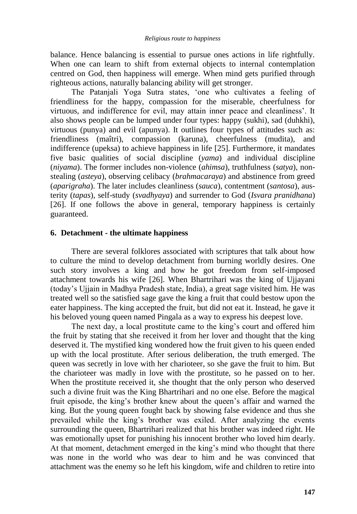balance. Hence balancing is essential to pursue ones actions in life rightfully. When one can learn to shift from external objects to internal contemplation centred on God, then happiness will emerge. When mind gets purified through righteous actions, naturally balancing ability will get stronger.

The Patanjali Yoga Sutra states, 'one who cultivates a feeling of friendliness for the happy, compassion for the miserable, cheerfulness for virtuous, and indifference for evil, may attain inner peace and cleanliness'. It also shows people can be lumped under four types: happy (sukhi), sad (duhkhi), virtuous (punya) and evil (apunya). It outlines four types of attitudes such as: friendliness (maîtri), compassion (karuna), cheerfulness (mudita), and indifference (upeksa) to achieve happiness in life [25]. Furthermore, it mandates five basic qualities of social discipline (*yama*) and individual discipline (*niyama*). The former includes non-violence (*ahimsa*), truthfulness (*satya*), nonstealing (*asteya*), observing celibacy (*brahmacaraya*) and abstinence from greed (*aparigraha*). The later includes cleanliness (*sauca*), contentment (*santosa*), austerity (*tapas*), self-study (*svadhyaya*) and surrender to God (*Isvara pranidhana*) [26]. If one follows the above in general, temporary happiness is certainly guaranteed.

## **6. Detachment - the ultimate happiness**

There are several folklores associated with scriptures that talk about how to culture the mind to develop detachment from burning worldly desires. One such story involves a king and how he got freedom from self-imposed attachment towards his wife [26]. When Bhartrihari was the king of Ujjayani (today's Ujjain in Madhya Pradesh state, India), a great sage visited him. He was treated well so the satisfied sage gave the king a fruit that could bestow upon the eater happiness. The king accepted the fruit, but did not eat it. Instead, he gave it his beloved young queen named Pingala as a way to express his deepest love.

The next day, a local prostitute came to the king's court and offered him the fruit by stating that she received it from her lover and thought that the king deserved it. The mystified king wondered how the fruit given to his queen ended up with the local prostitute. After serious deliberation, the truth emerged. The queen was secretly in love with her charioteer, so she gave the fruit to him. But the charioteer was madly in love with the prostitute, so he passed on to her. When the prostitute received it, she thought that the only person who deserved such a divine fruit was the King Bhartrihari and no one else. Before the magical fruit episode, the king's brother knew about the queen's affair and warned the king. But the young queen fought back by showing false evidence and thus she prevailed while the king's brother was exiled. After analyzing the events surrounding the queen, Bhartrihari realized that his brother was indeed right. He was emotionally upset for punishing his innocent brother who loved him dearly. At that moment, detachment emerged in the king's mind who thought that there was none in the world who was dear to him and he was convinced that attachment was the enemy so he left his kingdom, wife and children to retire into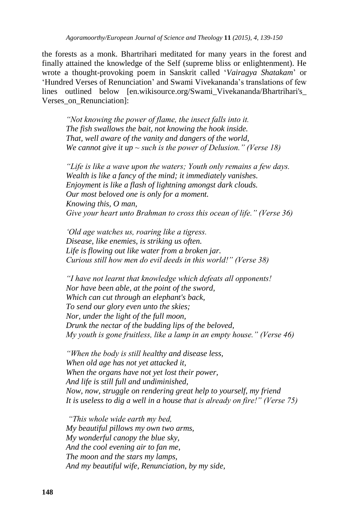the forests as a monk. Bhartrihari meditated for many years in the forest and finally attained the knowledge of the Self (supreme bliss or enlightenment). He wrote a thought-provoking poem in Sanskrit called ‗*Vairagya Shatakam*' or ‗Hundred Verses of Renunciation' and Swami Vivekananda's translations of few lines outlined below [en.wikisource.org/Swami\_Vivekananda/Bhartrihari's\_ Verses on Renunciation]:

*"Not knowing the power of flame, the insect falls into it. The fish swallows the bait, not knowing the hook inside. That, well aware of the vanity and dangers of the world, We cannot give it up ~ such is the power of Delusion." (Verse 18)*

*"Life is like a wave upon the waters; Youth only remains a few days. Wealth is like a fancy of the mind; it immediately vanishes. Enjoyment is like a flash of lightning amongst dark clouds. Our most beloved one is only for a moment. Knowing this, O man, Give your heart unto Brahman to cross this ocean of life." (Verse 36)*

*"Old age watches us, roaring like a tigress. Disease, like enemies, is striking us often. Life is flowing out like water from a broken jar. Curious still how men do evil deeds in this world!" (Verse 38)*

*"I have not learnt that knowledge which defeats all opponents! Nor have been able, at the point of the sword, Which can cut through an elephant's back, To send our glory even unto the skies; Nor, under the light of the full moon, Drunk the nectar of the budding lips of the beloved, My youth is gone fruitless, like a lamp in an empty house." (Verse 46)*

*"When the body is still healthy and disease less, When old age has not yet attacked it, When the organs have not yet lost their power, And life is still full and undiminished, Now, now, struggle on rendering great help to yourself, my friend It is useless to dig a well in a house that is already on fire!" (Verse 75)*

*"This whole wide earth my bed, My beautiful pillows my own two arms, My wonderful canopy the blue sky, And the cool evening air to fan me, The moon and the stars my lamps, And my beautiful wife, Renunciation, by my side,*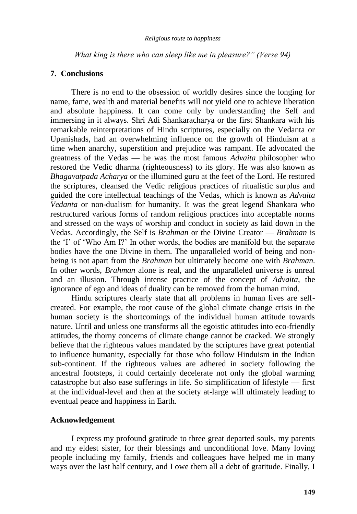*What king is there who can sleep like me in pleasure?" (Verse 94)*

#### **7. Conclusions**

There is no end to the obsession of worldly desires since the longing for name, fame, wealth and material benefits will not yield one to achieve liberation and absolute happiness. It can come only by understanding the Self and immersing in it always. Shri Adi Shankaracharya or the first Shankara with his remarkable reinterpretations of Hindu scriptures, especially on the Vedanta or Upanishads, had an overwhelming influence on the growth of Hinduism at a time when anarchy, superstition and prejudice was rampant. He advocated the greatness of the Vedas — he was the most famous *Advaita* philosopher who restored the Vedic dharma (righteousness) to its glory. He was also known as *Bhagavatpada Acharya* or the illumined guru at the feet of the Lord. He restored the scriptures, cleansed the Vedic religious practices of ritualistic surplus and guided the core intellectual teachings of the Vedas, which is known as *Advaita Vedanta* or non-dualism for humanity. It was the great legend Shankara who restructured various forms of random religious practices into acceptable norms and stressed on the ways of worship and conduct in society as laid down in the Vedas. Accordingly, the Self is *Brahman* or the Divine Creator — *Brahman* is the ‗I' of ‗Who Am I?' In other words, the bodies are manifold but the separate bodies have the one Divine in them. The unparalleled world of being and nonbeing is not apart from the *Brahman* but ultimately become one with *Brahman*. In other words, *Brahman* alone is real, and the unparalleled universe is unreal and an illusion. Through intense practice of the concept of *Advaita*, the ignorance of ego and ideas of duality can be removed from the human mind.

Hindu scriptures clearly state that all problems in human lives are selfcreated. For example, the root cause of the global climate change crisis in the human society is the shortcomings of the individual human attitude towards nature. Until and unless one transforms all the egoistic attitudes into eco-friendly attitudes, the thorny concerns of climate change cannot be cracked. We strongly believe that the righteous values mandated by the scriptures have great potential to influence humanity, especially for those who follow Hinduism in the Indian sub-continent. If the righteous values are adhered in society following the ancestral footsteps, it could certainly decelerate not only the global warming catastrophe but also ease sufferings in life. So simplification of lifestyle — first at the individual-level and then at the society at-large will ultimately leading to eventual peace and happiness in Earth.

## **Acknowledgement**

I express my profound gratitude to three great departed souls, my parents and my eldest sister, for their blessings and unconditional love. Many loving people including my family, friends and colleagues have helped me in many ways over the last half century, and I owe them all a debt of gratitude. Finally, I